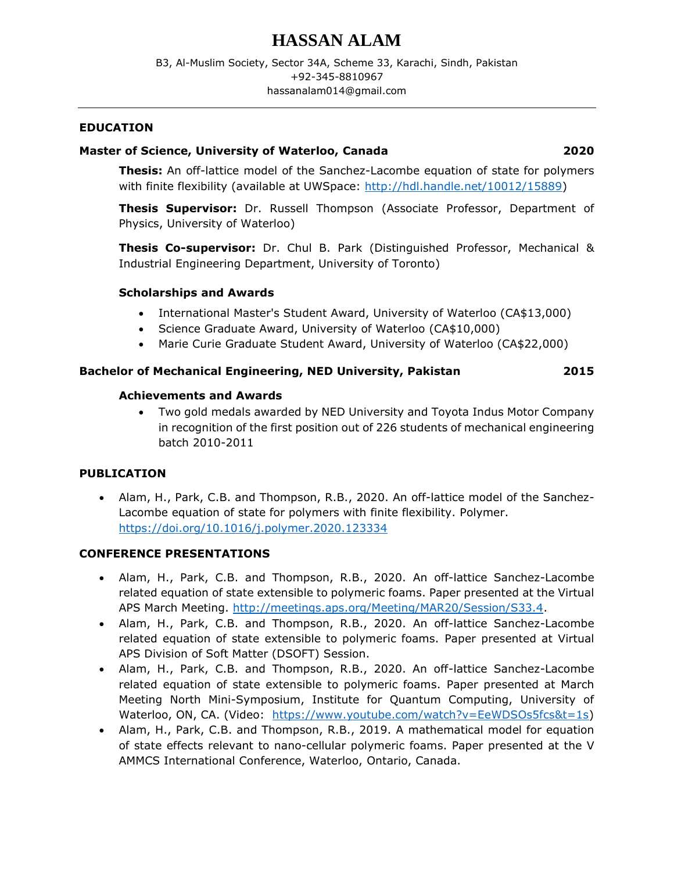# **HASSAN ALAM**

# **EDUCATION**

# **Master of Science, University of Waterloo, Canada 2020**

**Thesis:** An off-lattice model of the Sanchez-Lacombe equation of state for polymers with finite flexibility (available at UWSpace: [http://hdl.handle.net/10012/15889\)](http://hdl.handle.net/10012/15889)

**Thesis Supervisor:** Dr. Russell Thompson (Associate Professor, Department of Physics, University of Waterloo)

**Thesis Co-supervisor:** Dr. Chul B. Park (Distinguished Professor, Mechanical & Industrial Engineering Department, University of Toronto)

### **Scholarships and Awards**

- International Master's Student Award, University of Waterloo (CA\$13,000)
- Science Graduate Award, University of Waterloo (CA\$10,000)
- Marie Curie Graduate Student Award, University of Waterloo (CA\$22,000)

# **Bachelor of Mechanical Engineering, NED University, Pakistan 2015**

### **Achievements and Awards**

• Two gold medals awarded by NED University and Toyota Indus Motor Company in recognition of the first position out of 226 students of mechanical engineering batch 2010-2011

# **PUBLICATION**

• Alam, H., Park, C.B. and Thompson, R.B., 2020. An off-lattice model of the Sanchez-Lacombe equation of state for polymers with finite flexibility. Polymer. <https://doi.org/10.1016/j.polymer.2020.123334>

### **CONFERENCE PRESENTATIONS**

- Alam, H., Park, C.B. and Thompson, R.B., 2020. An off-lattice Sanchez-Lacombe related equation of state extensible to polymeric foams. Paper presented at the Virtual APS March Meeting. [http://meetings.aps.org/Meeting/MAR20/Session/S33.4.](http://meetings.aps.org/Meeting/MAR20/Session/S33.4)
- Alam, H., Park, C.B. and Thompson, R.B., 2020. An off-lattice Sanchez-Lacombe related equation of state extensible to polymeric foams. Paper presented at Virtual APS Division of Soft Matter (DSOFT) Session.
- Alam, H., Park, C.B. and Thompson, R.B., 2020. An off-lattice Sanchez-Lacombe related equation of state extensible to polymeric foams. Paper presented at March Meeting North Mini-Symposium, Institute for Quantum Computing, University of Waterloo, ON, CA. (Video: [https://www.youtube.com/watch?v=EeWDSOs5fcs&t=1s\)](https://www.youtube.com/watch?v=EeWDSOs5fcs&t=1s)
- Alam, H., Park, C.B. and Thompson, R.B., 2019. A mathematical model for equation of state effects relevant to nano-cellular polymeric foams. Paper presented at the V AMMCS International Conference, Waterloo, Ontario, Canada.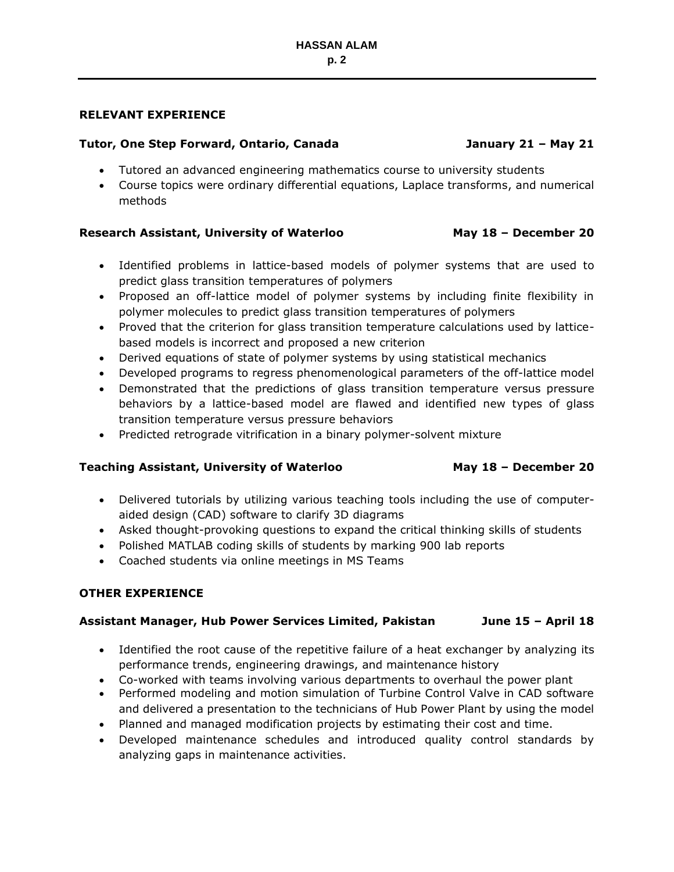# **RELEVANT EXPERIENCE**

# **Tutor, One Step Forward, Ontario, Canada January 21 – May 21**

# • Tutored an advanced engineering mathematics course to university students

• Course topics were ordinary differential equations, Laplace transforms, and numerical methods

# **Research Assistant, University of Waterloo May 18 – December 20**

- Identified problems in lattice-based models of polymer systems that are used to predict glass transition temperatures of polymers
- Proposed an off-lattice model of polymer systems by including finite flexibility in polymer molecules to predict glass transition temperatures of polymers
- Proved that the criterion for glass transition temperature calculations used by latticebased models is incorrect and proposed a new criterion
- Derived equations of state of polymer systems by using statistical mechanics
- Developed programs to regress phenomenological parameters of the off-lattice model
- Demonstrated that the predictions of glass transition temperature versus pressure behaviors by a lattice-based model are flawed and identified new types of glass transition temperature versus pressure behaviors
- Predicted retrograde vitrification in a binary polymer-solvent mixture

# **Teaching Assistant, University of Waterloo May 18 – December 20**

- Delivered tutorials by utilizing various teaching tools including the use of computeraided design (CAD) software to clarify 3D diagrams
- Asked thought-provoking questions to expand the critical thinking skills of students
- Polished MATLAB coding skills of students by marking 900 lab reports
- Coached students via online meetings in MS Teams

# **OTHER EXPERIENCE**

# **Assistant Manager, Hub Power Services Limited, Pakistan June 15 – April 18**

- Identified the root cause of the repetitive failure of a heat exchanger by analyzing its performance trends, engineering drawings, and maintenance history
- Co-worked with teams involving various departments to overhaul the power plant
- Performed modeling and motion simulation of Turbine Control Valve in CAD software and delivered a presentation to the technicians of Hub Power Plant by using the model
- Planned and managed modification projects by estimating their cost and time.
- Developed maintenance schedules and introduced quality control standards by analyzing gaps in maintenance activities.